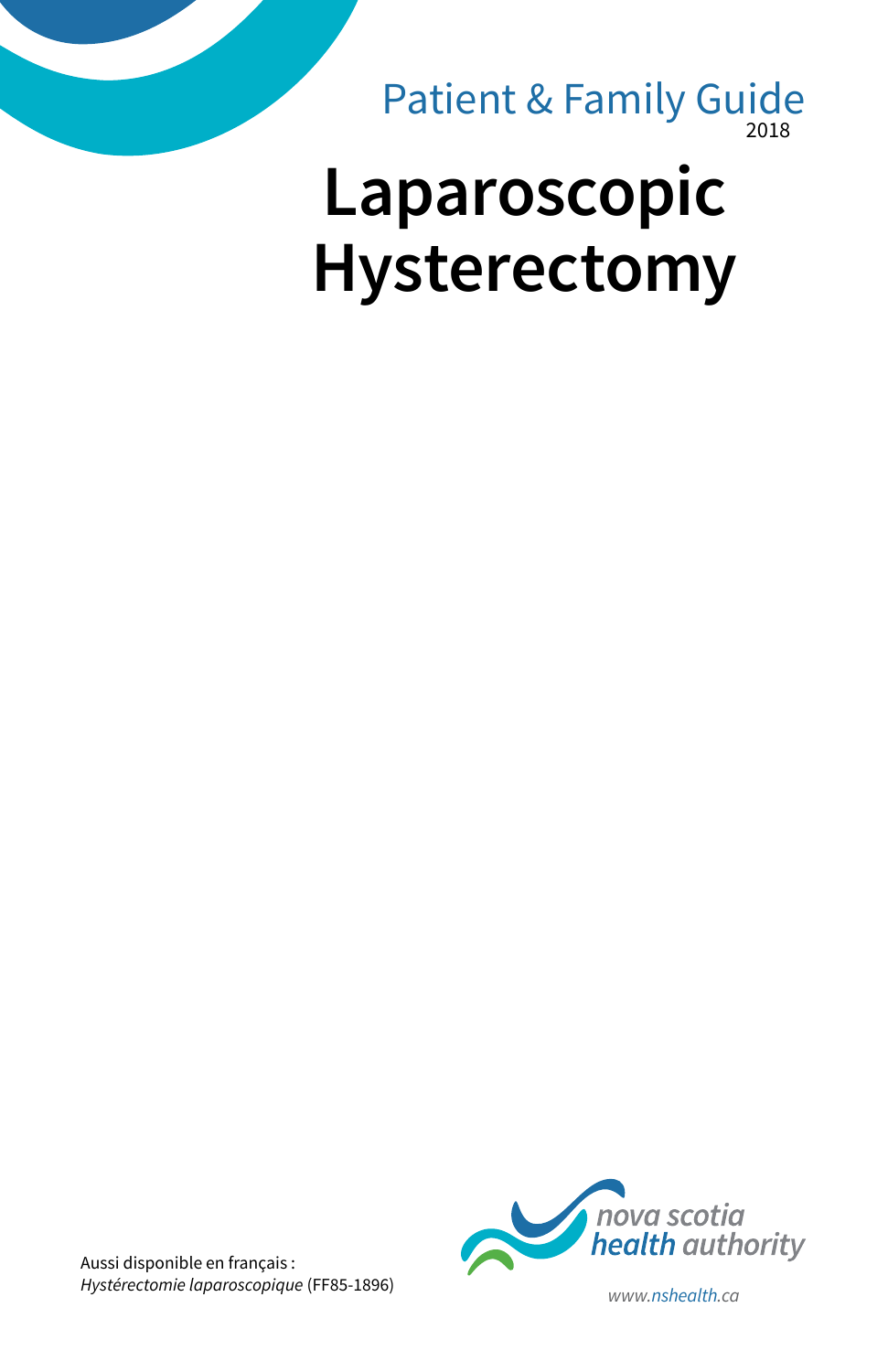2018 Patient & Family Guide

# **Laparoscopic Hysterectomy**



Aussi disponible en français : *Hystérectomie laparoscopique* (FF85-1896) *www.nshealth.ca*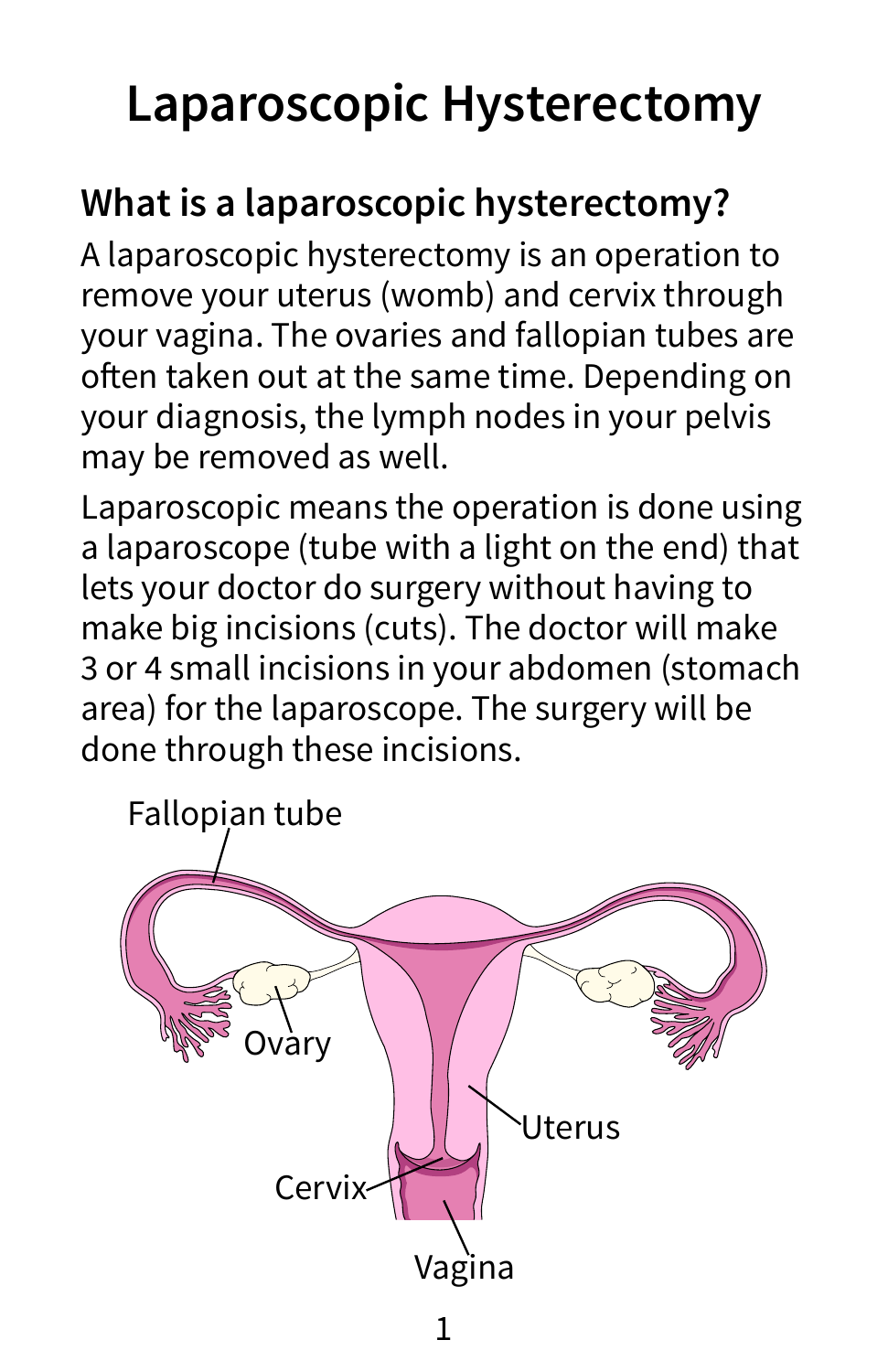# **Laparoscopic Hysterectomy**

# **What is a laparoscopic hysterectomy?**

A laparoscopic hysterectomy is an operation to remove your uterus (womb) and cervix through your vagina. The ovaries and fallopian tubes are often taken out at the same time. Depending on your diagnosis, the lymph nodes in your pelvis may be removed as well.

Laparoscopic means the operation is done using a laparoscope (tube with a light on the end) that lets your doctor do surgery without having to make big incisions (cuts). The doctor will make 3 or 4 small incisions in your abdomen (stomach area) for the laparoscope. The surgery will be done through these incisions.

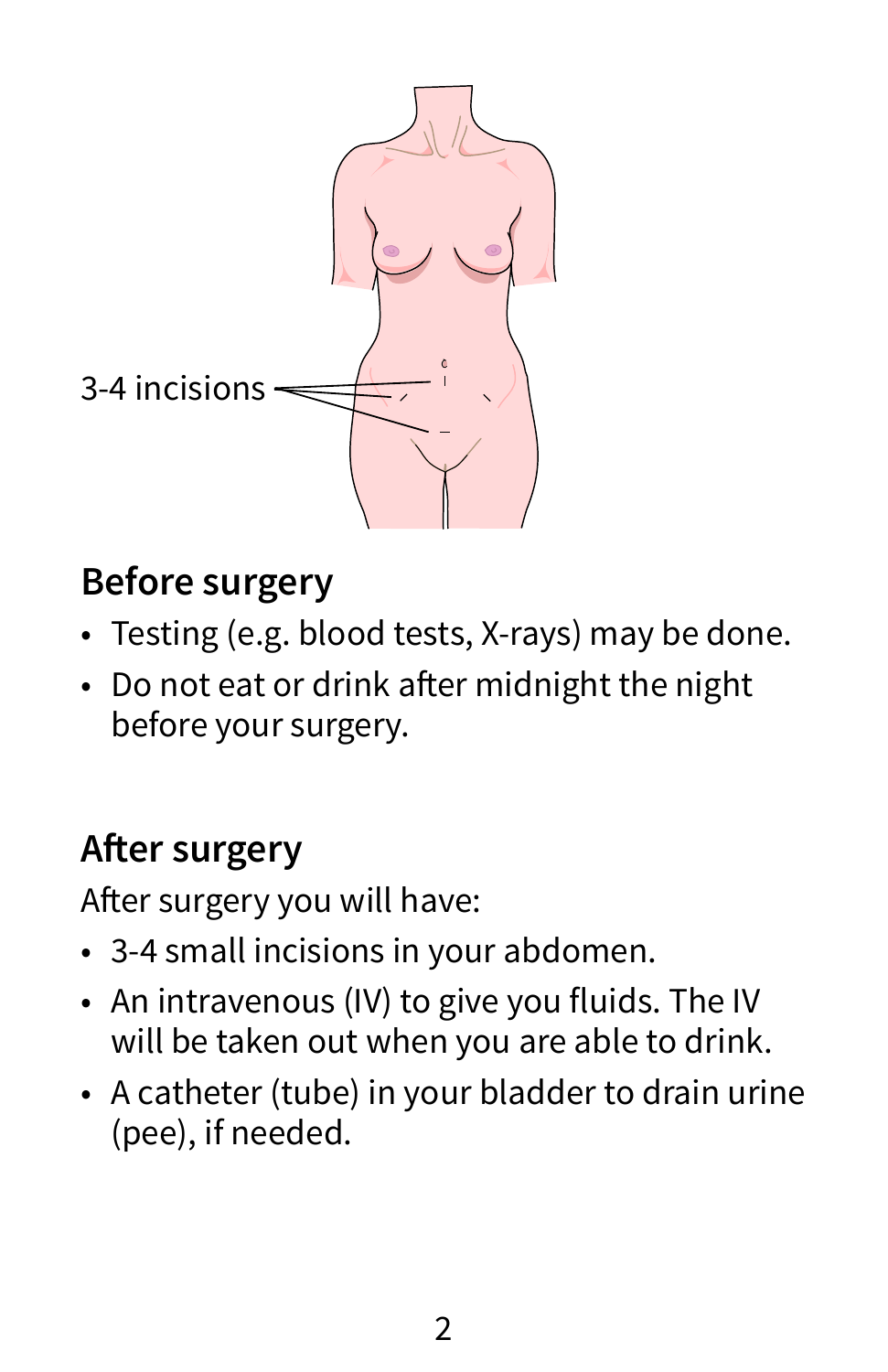

## **Before surgery**

- Testing (e.g. blood tests, X-rays) may be done.
- Do not eat or drink after midnight the night before your surgery.

# **After surgery**

After surgery you will have:

- 3-4 small incisions in your abdomen.
- An intravenous (IV) to give you fluids. The IV will be taken out when you are able to drink.
- A catheter (tube) in your bladder to drain urine (pee), if needed.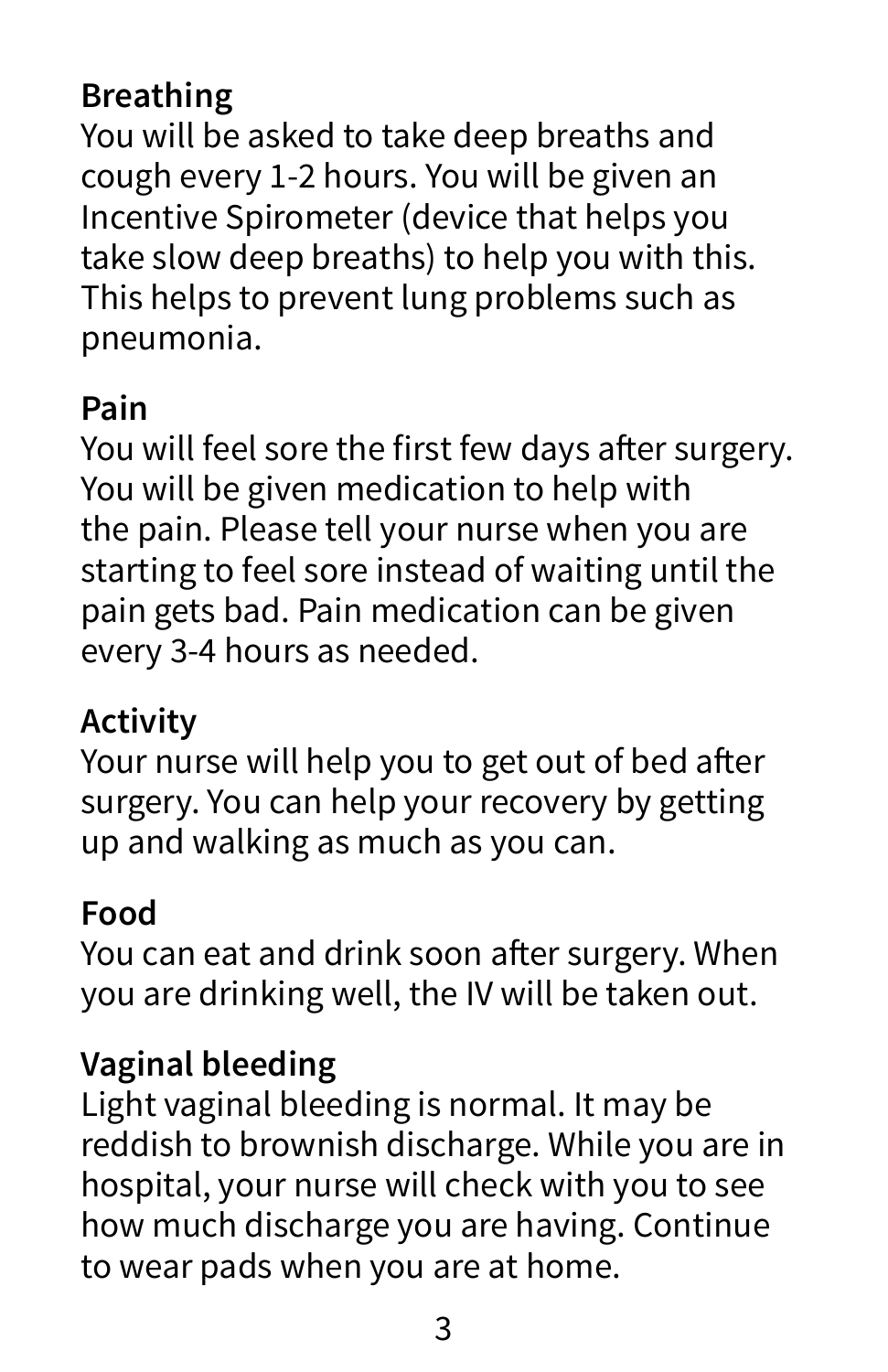### **Breathing**

You will be asked to take deep breaths and cough every 1-2 hours. You will be given an Incentive Spirometer (device that helps you take slow deep breaths) to help you with this. This helps to prevent lung problems such as pneumonia.

#### **Pain**

You will feel sore the first few days after surgery. You will be given medication to help with the pain. Please tell your nurse when you are starting to feel sore instead of waiting until the pain gets bad. Pain medication can be given every 3-4 hours as needed.

#### **Activity**

Your nurse will help you to get out of bed after surgery. You can help your recovery by getting up and walking as much as you can.

#### **Food**

You can eat and drink soon after surgery. When you are drinking well, the IV will be taken out.

#### **Vaginal bleeding**

Light vaginal bleeding is normal. It may be reddish to brownish discharge. While you are in hospital, your nurse will check with you to see how much discharge you are having. Continue to wear pads when you are at home.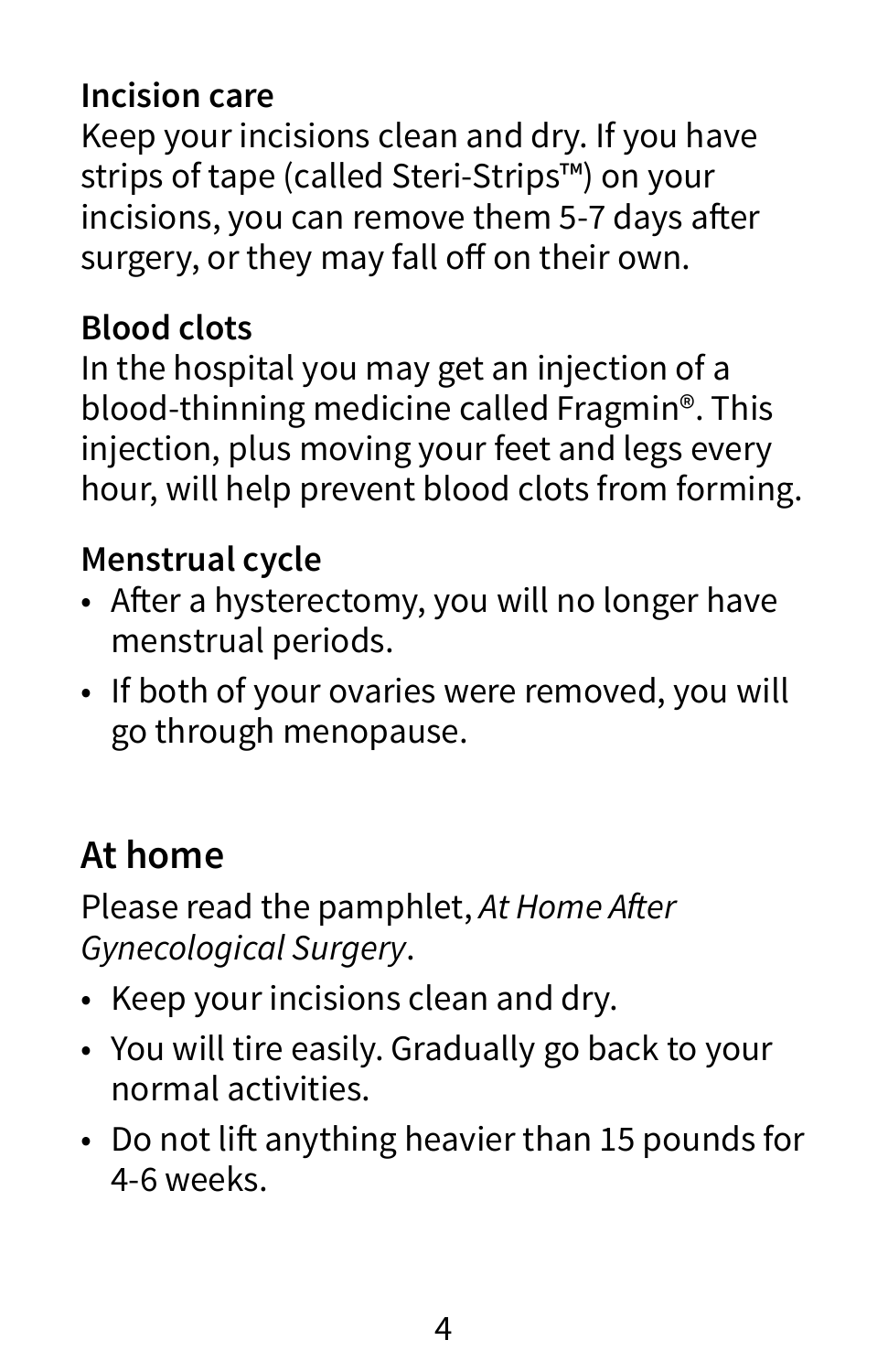#### **Incision care**

Keep your incisions clean and dry. If you have strips of tape (called Steri-Strips™) on your incisions, you can remove them 5-7 days after surgery, or they may fall off on their own.

#### **Blood clots**

In the hospital you may get an injection of a blood-thinning medicine called Fragmin®. This injection, plus moving your feet and legs every hour, will help prevent blood clots from forming.

#### **Menstrual cycle**

- After a hysterectomy, you will no longer have menstrual periods.
- If both of your ovaries were removed, you will go through menopause.

## **At home**

Please read the pamphlet, At Home After *Gynecological Surgery*.

- Keep your incisions clean and dry.
- You will tire easily. Gradually go back to your normal activities.
- Do not lift anything heavier than 15 pounds for 4-6 weeks.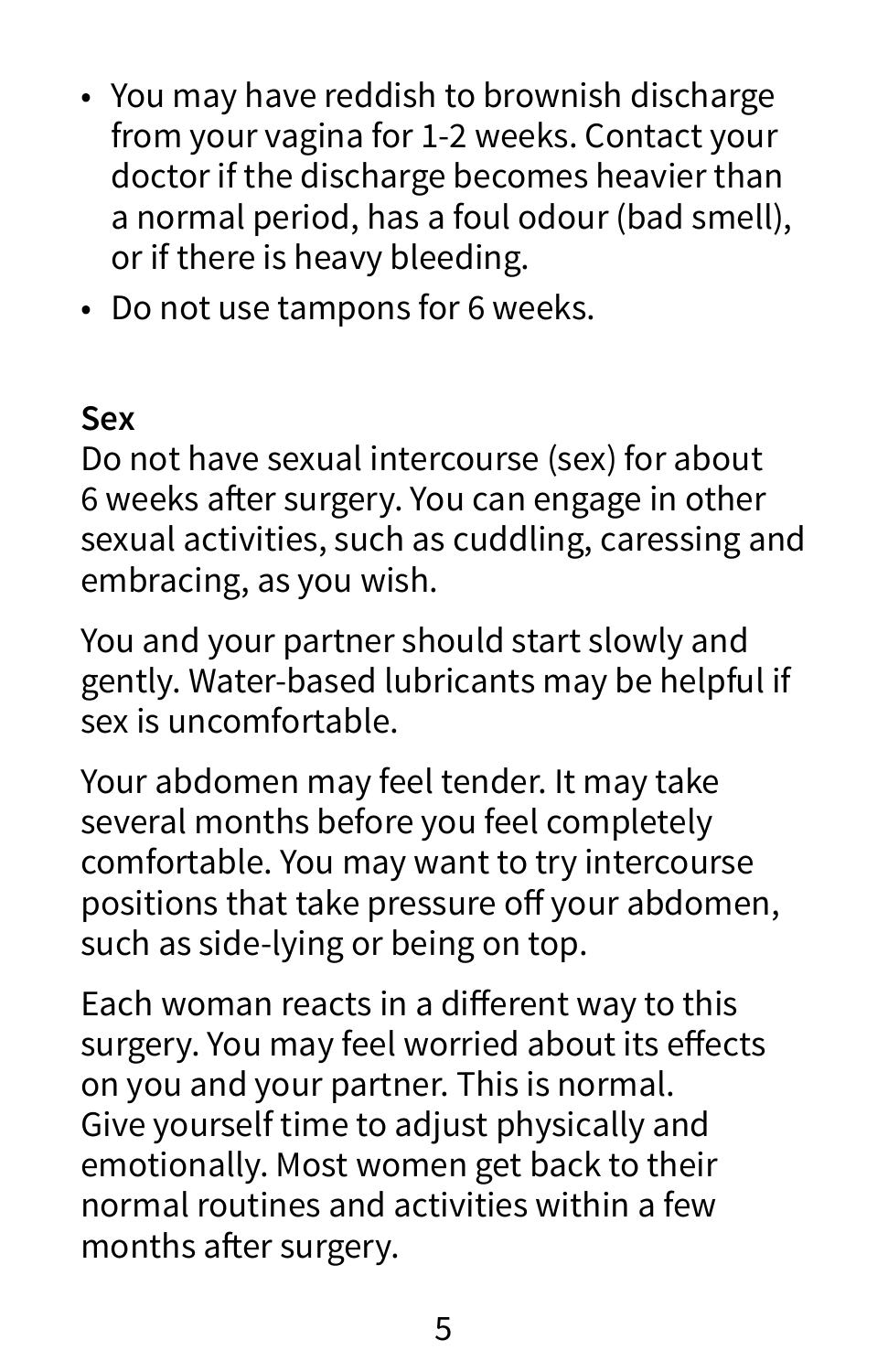- You may have reddish to brownish discharge from your vagina for 1-2 weeks. Contact your doctor if the discharge becomes heavier than a normal period, has a foul odour (bad smell), or if there is heavy bleeding.
- Do not use tampons for 6 weeks.

#### **Sex**

Do not have sexual intercourse (sex) for about 6 weeks after surgery. You can engage in other sexual activities, such as cuddling, caressing and embracing, as you wish.

You and your partner should start slowly and gently. Water-based lubricants may be helpful if sex is uncomfortable.

Your abdomen may feel tender. It may take several months before you feel completely comfortable. You may want to try intercourse positions that take pressure off your abdomen, such as side-lying or being on top.

Each woman reacts in a different way to this surgery. You may feel worried about its effects on you and your partner. This is normal. Give yourself time to adjust physically and emotionally. Most women get back to their normal routines and activities within a few months after surgery.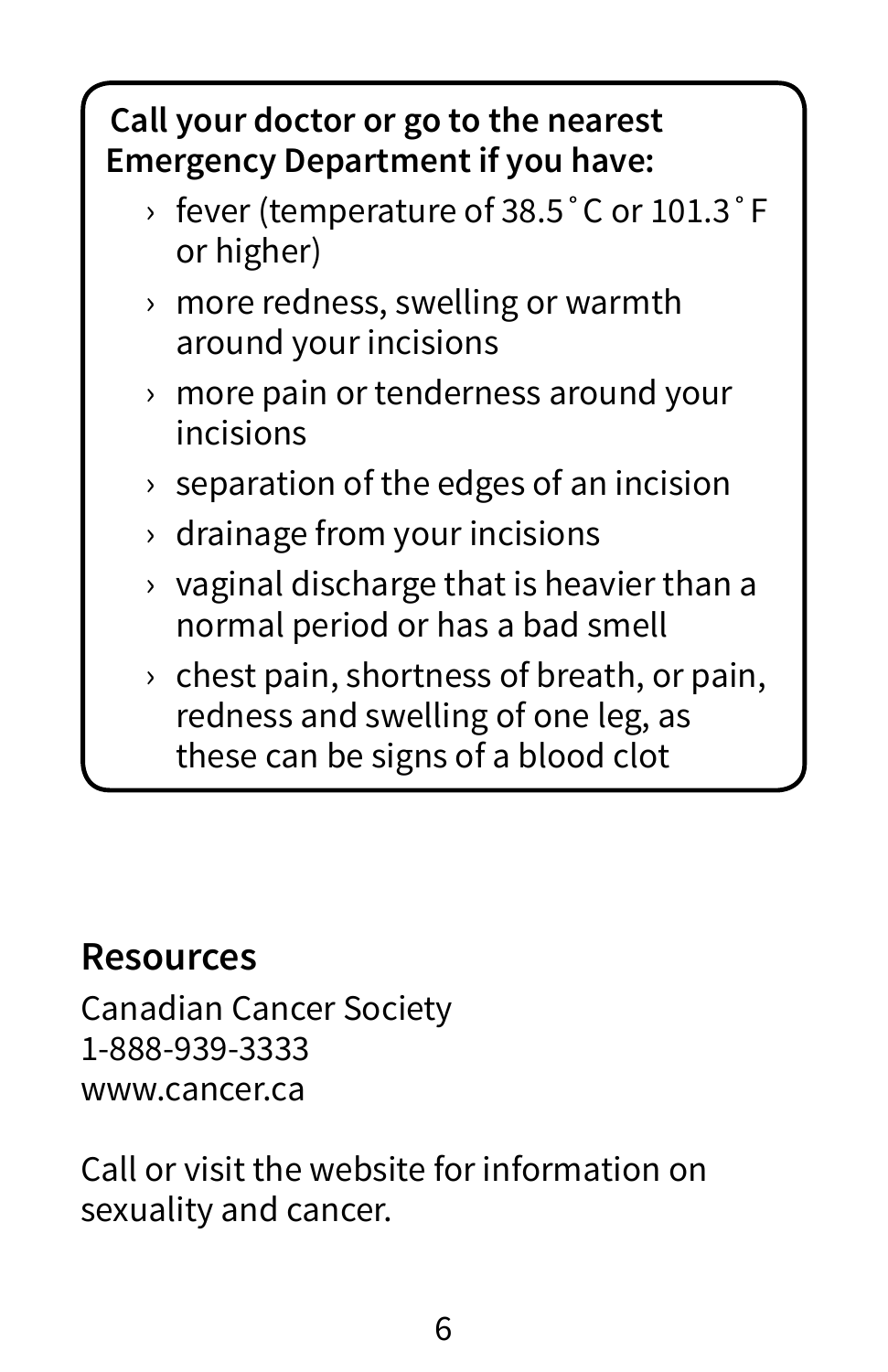#### **Call your doctor or go to the nearest Emergency Department if you have:**

- › fever (temperature of 38.5˚C or 101.3˚F or higher)
- › more redness, swelling or warmth around your incisions
- › more pain or tenderness around your incisions
- $\rightarrow$  separation of the edges of an incision
- $\rightarrow$  drainage from your incisions
- $\rightarrow$  vaginal discharge that is heavier than a normal period or has a bad smell
- $\rightarrow$  chest pain, shortness of breath, or pain, redness and swelling of one leg, as these can be signs of a blood clot

#### **Resources**

Canadian Cancer Society 1-888-939-3333 www.cancer.ca

Call or visit the website for information on sexuality and cancer.